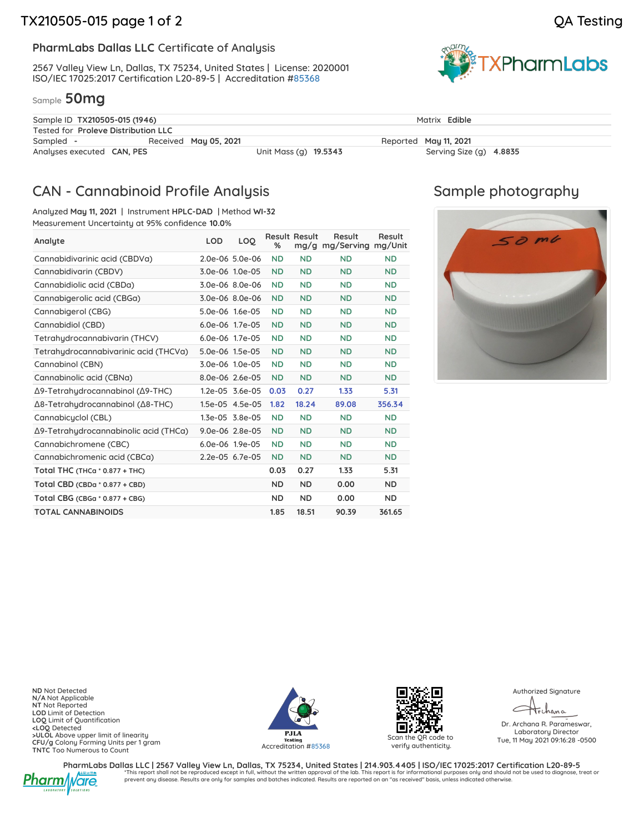### **PharmLabs Dallas LLC** Certificate of Analysis

2567 Valley View Ln, Dallas, TX 75234, United States | License: 2020001 ISO/IEC 17025:2017 Certification L20-89-5 | Accreditation [#85368](https://www.dropbox.com/s/viyd644vbfncjoz/L20-89-5_PharmLabs_Dallas.pdf?dl=0)

#### Sample **50mg**



| Sample ID TX210505-015 (1946)       |                       |                       | Matrix Edible           |  |  |  |
|-------------------------------------|-----------------------|-----------------------|-------------------------|--|--|--|
| Tested for Proleve Distribution LLC |                       |                       |                         |  |  |  |
| Sampled -                           | Received May 05, 2021 |                       | Reported May 11, 2021   |  |  |  |
| Analyses executed <b>CAN, PES</b>   |                       | Unit Mass (g) 19.5343 | Serving Size (g) 4.8835 |  |  |  |

## CAN - Cannabinoid Profile Analysis

Analyzed **May 11, 2021** | Instrument **HPLC-DAD** | Method **WI-32** Measurement Uncertainty at 95% confidence **10.0**%

| Analyte                               | <b>LOD</b>      | LOQ             | %         | <b>Result Result</b> | Result<br>mg/g mg/Serving | Result<br>mg/Unit |
|---------------------------------------|-----------------|-----------------|-----------|----------------------|---------------------------|-------------------|
| Cannabidivarinic acid (CBDVa)         |                 | 2.0e-06 5.0e-06 | <b>ND</b> | <b>ND</b>            | <b>ND</b>                 | <b>ND</b>         |
| Cannabidivarin (CBDV)                 |                 | 3.0e-06 1.0e-05 | <b>ND</b> | <b>ND</b>            | <b>ND</b>                 | <b>ND</b>         |
| Cannabidiolic acid (CBDa)             |                 | 3.0e-06 8.0e-06 | <b>ND</b> | <b>ND</b>            | <b>ND</b>                 | <b>ND</b>         |
| Cannabigerolic acid (CBGa)            |                 | 3.0e-06 8.0e-06 | <b>ND</b> | <b>ND</b>            | <b>ND</b>                 | <b>ND</b>         |
| Cannabigerol (CBG)                    | 5.0e-06 1.6e-05 |                 | <b>ND</b> | <b>ND</b>            | <b>ND</b>                 | <b>ND</b>         |
| Cannabidiol (CBD)                     | 6.0e-06 1.7e-05 |                 | <b>ND</b> | <b>ND</b>            | <b>ND</b>                 | <b>ND</b>         |
| Tetrahydrocannabivarin (THCV)         |                 | 6.0e-06 1.7e-05 | <b>ND</b> | <b>ND</b>            | <b>ND</b>                 | <b>ND</b>         |
| Tetrahydrocannabivarinic acid (THCVa) | 5.0e-06 1.5e-05 |                 | <b>ND</b> | <b>ND</b>            | <b>ND</b>                 | <b>ND</b>         |
| Cannabinol (CBN)                      |                 | 3.0e-06 1.0e-05 | <b>ND</b> | <b>ND</b>            | <b>ND</b>                 | <b>ND</b>         |
| Cannabinolic acid (CBNa)              |                 | 8.0e-06 2.6e-05 | <b>ND</b> | <b>ND</b>            | <b>ND</b>                 | <b>ND</b>         |
| Δ9-Tetrahydrocannabinol (Δ9-THC)      |                 | 1.2e-05 3.6e-05 | 0.03      | 0.27                 | 1.33                      | 5.31              |
| Δ8-Tetrahydrocannabinol (Δ8-THC)      |                 | 1.5e-05 4.5e-05 | 1.82      | 18.24                | 89.08                     | 356.34            |
| Cannabicyclol (CBL)                   |                 | 1.3e-05 3.8e-05 | <b>ND</b> | <b>ND</b>            | <b>ND</b>                 | <b>ND</b>         |
| Δ9-Tetrahydrocannabinolic acid (THCa) |                 | 9.0e-06 2.8e-05 | <b>ND</b> | <b>ND</b>            | <b>ND</b>                 | <b>ND</b>         |
| Cannabichromene (CBC)                 |                 | 6.0e-06 1.9e-05 | <b>ND</b> | <b>ND</b>            | <b>ND</b>                 | <b>ND</b>         |
| Cannabichromenic acid (CBCa)          |                 | 2.2e-05 6.7e-05 | <b>ND</b> | <b>ND</b>            | <b>ND</b>                 | <b>ND</b>         |
| Total THC (THCa $*$ 0.877 + THC)      |                 |                 | 0.03      | 0.27                 | 1.33                      | 5.31              |
| Total CBD (CBDa * 0.877 + CBD)        |                 |                 | <b>ND</b> | <b>ND</b>            | 0.00                      | <b>ND</b>         |
| Total CBG (CBGa * 0.877 + CBG)        |                 |                 | <b>ND</b> | <b>ND</b>            | 0.00                      | ND.               |
| <b>TOTAL CANNABINOIDS</b>             |                 |                 | 1.85      | 18.51                | 90.39                     | 361.65            |

## Sample photography



**ND** Not Detected **N/A** Not Applicable **NT** Not Reported **LOD** Limit of Detection **LOQ** Limit of Quantification **<LOQ** Detected **>ULOL** Above upper limit of linearity **CFU/g** Colony Forming Units per 1 gram **TNTC** Too Numerous to Count





verify authenticity.

Authorized Signature

Trchana

Dr. Archana R. Parameswar, Laboratory Director Tue, 11 May 2021 09:16:28 -0500



PharmLabs Dallas LLC | 2567 Valley View Ln, Dallas, TX 75234, United States | 214.903.4405 | ISO/IEC 17025:2017 Certification L20-89-5 \*This report shall not be reproduced except in full, without the written approval of the lab. This report is for informational purposes only and should not be used to diagnose, treat or prevent any disease. Results are only for samples and batches indicated. Results are reported on an "as received" basis, unless indicated otherwise.